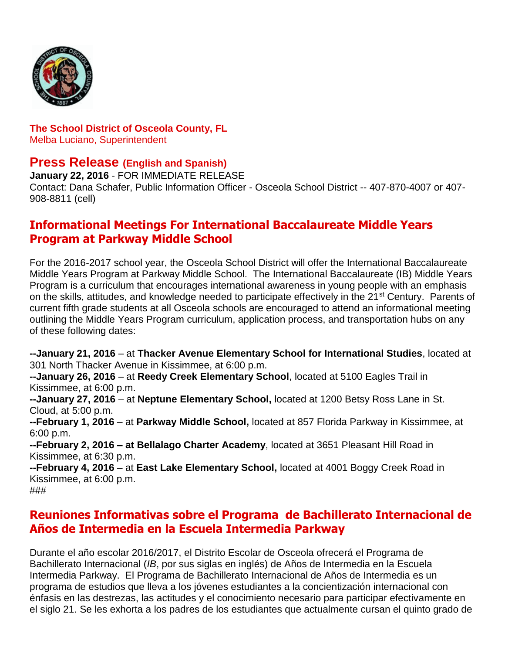

#### **The School District of Osceola County, FL** Melba Luciano, Superintendent

### **Press Release (English and Spanish)**

**January 22, 2016** - FOR IMMEDIATE RELEASE Contact: Dana Schafer, Public Information Officer - Osceola School District -- 407-870-4007 or 407- 908-8811 (cell)

## **Informational Meetings For International Baccalaureate Middle Years Program at Parkway Middle School**

For the 2016-2017 school year, the Osceola School District will offer the International Baccalaureate Middle Years Program at Parkway Middle School. The International Baccalaureate (IB) Middle Years Program is a curriculum that encourages international awareness in young people with an emphasis on the skills, attitudes, and knowledge needed to participate effectively in the 21st Century. Parents of current fifth grade students at all Osceola schools are encouraged to attend an informational meeting outlining the Middle Years Program curriculum, application process, and transportation hubs on any of these following dates:

**--January 21, 2016** – at **Thacker Avenue Elementary School for International Studies**, located at 301 North Thacker Avenue in Kissimmee, at 6:00 p.m.

**--January 26, 2016** – at **Reedy Creek Elementary School**, located at 5100 Eagles Trail in Kissimmee, at 6:00 p.m.

**--January 27, 2016** – at **Neptune Elementary School,** located at 1200 Betsy Ross Lane in St. Cloud, at 5:00 p.m.

**--February 1, 2016** – at **Parkway Middle School,** located at 857 Florida Parkway in Kissimmee, at 6:00 p.m.

**--February 2, 2016 – at Bellalago Charter Academy**, located at 3651 Pleasant Hill Road in Kissimmee, at 6:30 p.m.

**--February 4, 2016** – at **East Lake Elementary School,** located at 4001 Boggy Creek Road in Kissimmee, at 6:00 p.m.

#### ###

# **Reuniones Informativas sobre el Programa de Bachillerato Internacional de Años de Intermedia en la Escuela Intermedia Parkway**

Durante el año escolar 2016/2017, el Distrito Escolar de Osceola ofrecerá el Programa de Bachillerato Internacional (*IB*, por sus siglas en inglés) de Años de Intermedia en la Escuela Intermedia Parkway. El Programa de Bachillerato Internacional de Años de Intermedia es un programa de estudios que lleva a los jóvenes estudiantes a la concientización internacional con énfasis en las destrezas, las actitudes y el conocimiento necesario para participar efectivamente en el siglo 21. Se les exhorta a los padres de los estudiantes que actualmente cursan el quinto grado de